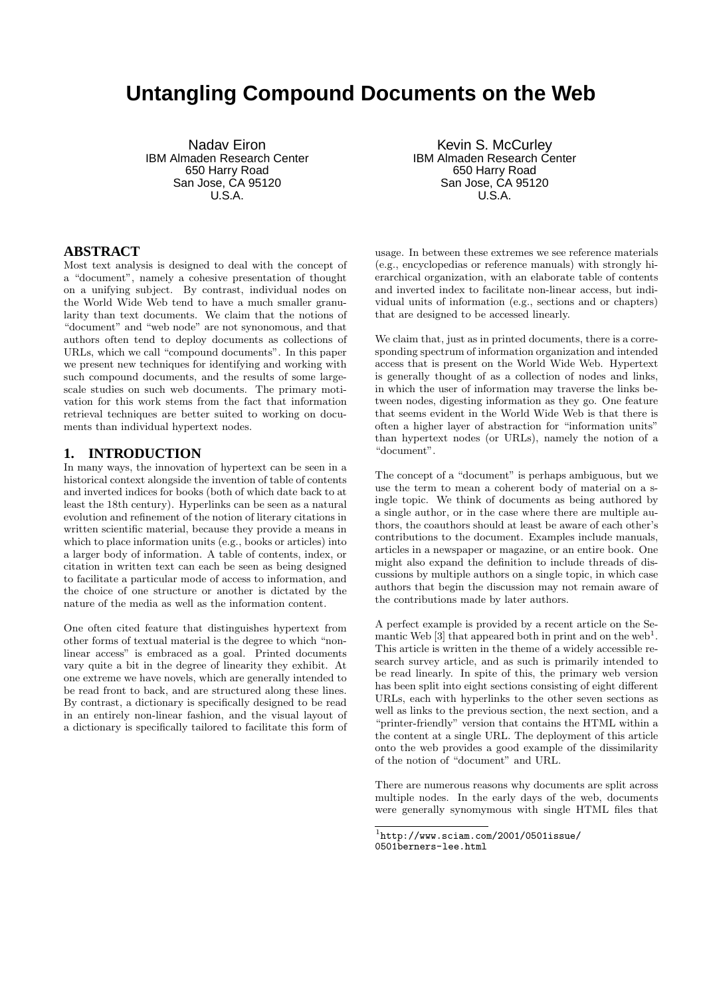# **Untangling Compound Documents on the Web**

Nadav Eiron IBM Almaden Research Center 650 Harry Road San Jose, CA 95120 U.S.A.

Kevin S. McCurley IBM Almaden Research Center 650 Harry Road San Jose, CA 95120 U.S.A.

# **ABSTRACT**

Most text analysis is designed to deal with the concept of a "document", namely a cohesive presentation of thought on a unifying subject. By contrast, individual nodes on the World Wide Web tend to have a much smaller granularity than text documents. We claim that the notions of "document" and "web node" are not synonomous, and that authors often tend to deploy documents as collections of URLs, which we call "compound documents". In this paper we present new techniques for identifying and working with such compound documents, and the results of some largescale studies on such web documents. The primary motivation for this work stems from the fact that information retrieval techniques are better suited to working on documents than individual hypertext nodes.

#### **1. INTRODUCTION**

In many ways, the innovation of hypertext can be seen in a historical context alongside the invention of table of contents and inverted indices for books (both of which date back to at least the 18th century). Hyperlinks can be seen as a natural evolution and refinement of the notion of literary citations in written scientific material, because they provide a means in which to place information units (e.g., books or articles) into a larger body of information. A table of contents, index, or citation in written text can each be seen as being designed to facilitate a particular mode of access to information, and the choice of one structure or another is dictated by the nature of the media as well as the information content.

One often cited feature that distinguishes hypertext from other forms of textual material is the degree to which "nonlinear access" is embraced as a goal. Printed documents vary quite a bit in the degree of linearity they exhibit. At one extreme we have novels, which are generally intended to be read front to back, and are structured along these lines. By contrast, a dictionary is specifically designed to be read in an entirely non-linear fashion, and the visual layout of a dictionary is specifically tailored to facilitate this form of

usage. In between these extremes we see reference materials (e.g., encyclopedias or reference manuals) with strongly hierarchical organization, with an elaborate table of contents and inverted index to facilitate non-linear access, but individual units of information (e.g., sections and or chapters) that are designed to be accessed linearly.

We claim that, just as in printed documents, there is a corresponding spectrum of information organization and intended access that is present on the World Wide Web. Hypertext is generally thought of as a collection of nodes and links, in which the user of information may traverse the links between nodes, digesting information as they go. One feature that seems evident in the World Wide Web is that there is often a higher layer of abstraction for "information units" than hypertext nodes (or URLs), namely the notion of a "document".

The concept of a "document" is perhaps ambiguous, but we use the term to mean a coherent body of material on a single topic. We think of documents as being authored by a single author, or in the case where there are multiple authors, the coauthors should at least be aware of each other's contributions to the document. Examples include manuals, articles in a newspaper or magazine, or an entire book. One might also expand the definition to include threads of discussions by multiple authors on a single topic, in which case authors that begin the discussion may not remain aware of the contributions made by later authors.

A perfect example is provided by a recent article on the Semantic Web  $[3]$  that appeared both in print and on the web<sup>1</sup>. This article is written in the theme of a widely accessible research survey article, and as such is primarily intended to be read linearly. In spite of this, the primary web version has been split into eight sections consisting of eight different URLs, each with hyperlinks to the other seven sections as well as links to the previous section, the next section, and a "printer-friendly" version that contains the HTML within a the content at a single URL. The deployment of this article onto the web provides a good example of the dissimilarity of the notion of "document" and URL.

There are numerous reasons why documents are split across multiple nodes. In the early days of the web, documents were generally synomymous with single HTML files that

<sup>1</sup> http://www.sciam.com/2001/0501issue/

<sup>0501</sup>berners-lee.html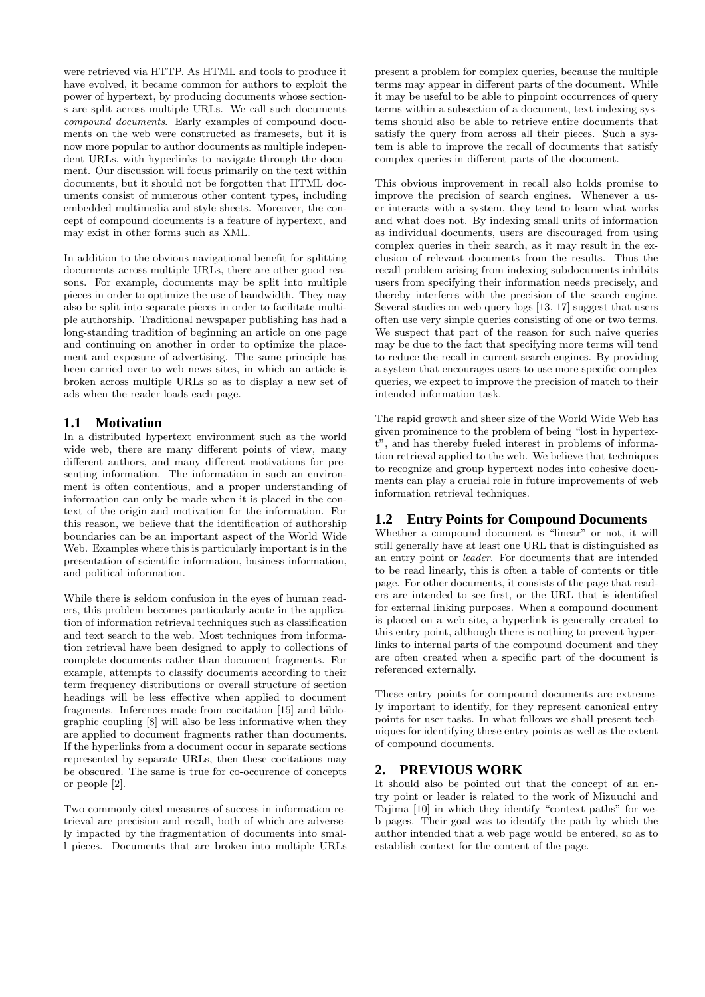were retrieved via HTTP. As HTML and tools to produce it have evolved, it became common for authors to exploit the power of hypertext, by producing documents whose sections are split across multiple URLs. We call such documents compound documents. Early examples of compound documents on the web were constructed as framesets, but it is now more popular to author documents as multiple independent URLs, with hyperlinks to navigate through the document. Our discussion will focus primarily on the text within documents, but it should not be forgotten that HTML documents consist of numerous other content types, including embedded multimedia and style sheets. Moreover, the concept of compound documents is a feature of hypertext, and may exist in other forms such as XML.

In addition to the obvious navigational benefit for splitting documents across multiple URLs, there are other good reasons. For example, documents may be split into multiple pieces in order to optimize the use of bandwidth. They may also be split into separate pieces in order to facilitate multiple authorship. Traditional newspaper publishing has had a long-standing tradition of beginning an article on one page and continuing on another in order to optimize the placement and exposure of advertising. The same principle has been carried over to web news sites, in which an article is broken across multiple URLs so as to display a new set of ads when the reader loads each page.

# **1.1 Motivation**

In a distributed hypertext environment such as the world wide web, there are many different points of view, many different authors, and many different motivations for presenting information. The information in such an environment is often contentious, and a proper understanding of information can only be made when it is placed in the context of the origin and motivation for the information. For this reason, we believe that the identification of authorship boundaries can be an important aspect of the World Wide Web. Examples where this is particularly important is in the presentation of scientific information, business information, and political information.

While there is seldom confusion in the eyes of human readers, this problem becomes particularly acute in the application of information retrieval techniques such as classification and text search to the web. Most techniques from information retrieval have been designed to apply to collections of complete documents rather than document fragments. For example, attempts to classify documents according to their term frequency distributions or overall structure of section headings will be less effective when applied to document fragments. Inferences made from cocitation [15] and biblographic coupling [8] will also be less informative when they are applied to document fragments rather than documents. If the hyperlinks from a document occur in separate sections represented by separate URLs, then these cocitations may be obscured. The same is true for co-occurence of concepts or people [2].

Two commonly cited measures of success in information retrieval are precision and recall, both of which are adversely impacted by the fragmentation of documents into small pieces. Documents that are broken into multiple URLs

present a problem for complex queries, because the multiple terms may appear in different parts of the document. While it may be useful to be able to pinpoint occurrences of query terms within a subsection of a document, text indexing systems should also be able to retrieve entire documents that satisfy the query from across all their pieces. Such a system is able to improve the recall of documents that satisfy complex queries in different parts of the document.

This obvious improvement in recall also holds promise to improve the precision of search engines. Whenever a user interacts with a system, they tend to learn what works and what does not. By indexing small units of information as individual documents, users are discouraged from using complex queries in their search, as it may result in the exclusion of relevant documents from the results. Thus the recall problem arising from indexing subdocuments inhibits users from specifying their information needs precisely, and thereby interferes with the precision of the search engine. Several studies on web query logs [13, 17] suggest that users often use very simple queries consisting of one or two terms. We suspect that part of the reason for such naive queries may be due to the fact that specifying more terms will tend to reduce the recall in current search engines. By providing a system that encourages users to use more specific complex queries, we expect to improve the precision of match to their intended information task.

The rapid growth and sheer size of the World Wide Web has given prominence to the problem of being "lost in hypertext", and has thereby fueled interest in problems of information retrieval applied to the web. We believe that techniques to recognize and group hypertext nodes into cohesive documents can play a crucial role in future improvements of web information retrieval techniques.

# **1.2 Entry Points for Compound Documents**

Whether a compound document is "linear" or not, it will still generally have at least one URL that is distinguished as an entry point or leader. For documents that are intended to be read linearly, this is often a table of contents or title page. For other documents, it consists of the page that readers are intended to see first, or the URL that is identified for external linking purposes. When a compound document is placed on a web site, a hyperlink is generally created to this entry point, although there is nothing to prevent hyperlinks to internal parts of the compound document and they are often created when a specific part of the document is referenced externally.

These entry points for compound documents are extremely important to identify, for they represent canonical entry points for user tasks. In what follows we shall present techniques for identifying these entry points as well as the extent of compound documents.

# **2. PREVIOUS WORK**

It should also be pointed out that the concept of an entry point or leader is related to the work of Mizuuchi and Tajima [10] in which they identify "context paths" for web pages. Their goal was to identify the path by which the author intended that a web page would be entered, so as to establish context for the content of the page.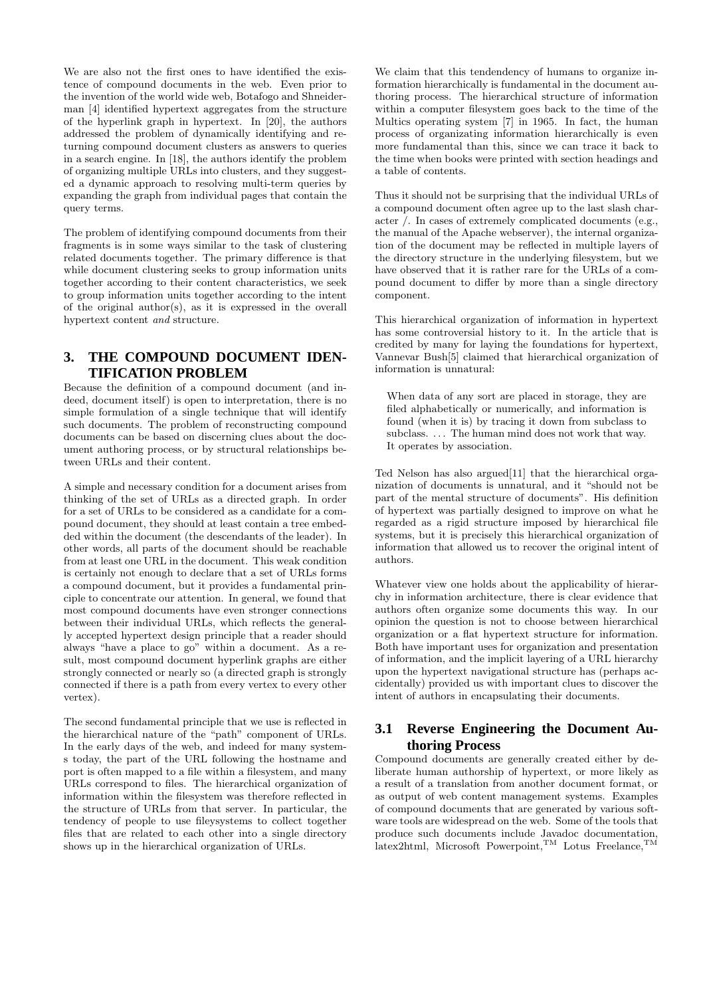We are also not the first ones to have identified the existence of compound documents in the web. Even prior to the invention of the world wide web, Botafogo and Shneiderman [4] identified hypertext aggregates from the structure of the hyperlink graph in hypertext. In [20], the authors addressed the problem of dynamically identifying and returning compound document clusters as answers to queries in a search engine. In [18], the authors identify the problem of organizing multiple URLs into clusters, and they suggested a dynamic approach to resolving multi-term queries by expanding the graph from individual pages that contain the query terms.

The problem of identifying compound documents from their fragments is in some ways similar to the task of clustering related documents together. The primary difference is that while document clustering seeks to group information units together according to their content characteristics, we seek to group information units together according to the intent of the original author(s), as it is expressed in the overall hypertext content and structure.

# **3. THE COMPOUND DOCUMENT IDEN-TIFICATION PROBLEM**

Because the definition of a compound document (and indeed, document itself) is open to interpretation, there is no simple formulation of a single technique that will identify such documents. The problem of reconstructing compound documents can be based on discerning clues about the document authoring process, or by structural relationships between URLs and their content.

A simple and necessary condition for a document arises from thinking of the set of URLs as a directed graph. In order for a set of URLs to be considered as a candidate for a compound document, they should at least contain a tree embedded within the document (the descendants of the leader). In other words, all parts of the document should be reachable from at least one URL in the document. This weak condition is certainly not enough to declare that a set of URLs forms a compound document, but it provides a fundamental principle to concentrate our attention. In general, we found that most compound documents have even stronger connections between their individual URLs, which reflects the generally accepted hypertext design principle that a reader should always "have a place to go" within a document. As a result, most compound document hyperlink graphs are either strongly connected or nearly so (a directed graph is strongly connected if there is a path from every vertex to every other vertex).

The second fundamental principle that we use is reflected in the hierarchical nature of the "path" component of URLs. In the early days of the web, and indeed for many systems today, the part of the URL following the hostname and port is often mapped to a file within a filesystem, and many URLs correspond to files. The hierarchical organization of information within the filesystem was therefore reflected in the structure of URLs from that server. In particular, the tendency of people to use fileysystems to collect together files that are related to each other into a single directory shows up in the hierarchical organization of URLs.

We claim that this tendendency of humans to organize information hierarchically is fundamental in the document authoring process. The hierarchical structure of information within a computer filesystem goes back to the time of the Multics operating system [7] in 1965. In fact, the human process of organizating information hierarchically is even more fundamental than this, since we can trace it back to the time when books were printed with section headings and a table of contents.

Thus it should not be surprising that the individual URLs of a compound document often agree up to the last slash character /. In cases of extremely complicated documents (e.g., the manual of the Apache webserver), the internal organization of the document may be reflected in multiple layers of the directory structure in the underlying filesystem, but we have observed that it is rather rare for the URLs of a compound document to differ by more than a single directory component.

This hierarchical organization of information in hypertext has some controversial history to it. In the article that is credited by many for laying the foundations for hypertext, Vannevar Bush[5] claimed that hierarchical organization of information is unnatural:

When data of any sort are placed in storage, they are filed alphabetically or numerically, and information is found (when it is) by tracing it down from subclass to subclass. ... The human mind does not work that way. It operates by association.

Ted Nelson has also argued[11] that the hierarchical organization of documents is unnatural, and it "should not be part of the mental structure of documents". His definition of hypertext was partially designed to improve on what he regarded as a rigid structure imposed by hierarchical file systems, but it is precisely this hierarchical organization of information that allowed us to recover the original intent of authors.

Whatever view one holds about the applicability of hierarchy in information architecture, there is clear evidence that authors often organize some documents this way. In our opinion the question is not to choose between hierarchical organization or a flat hypertext structure for information. Both have important uses for organization and presentation of information, and the implicit layering of a URL hierarchy upon the hypertext navigational structure has (perhaps accidentally) provided us with important clues to discover the intent of authors in encapsulating their documents.

# **3.1 Reverse Engineering the Document Authoring Process**

Compound documents are generally created either by deliberate human authorship of hypertext, or more likely as a result of a translation from another document format, or as output of web content management systems. Examples of compound documents that are generated by various software tools are widespread on the web. Some of the tools that produce such documents include Javadoc documentation, latex2html, Microsoft Powerpoint,<sup>TM</sup> Lotus Freelance,<sup>TM</sup>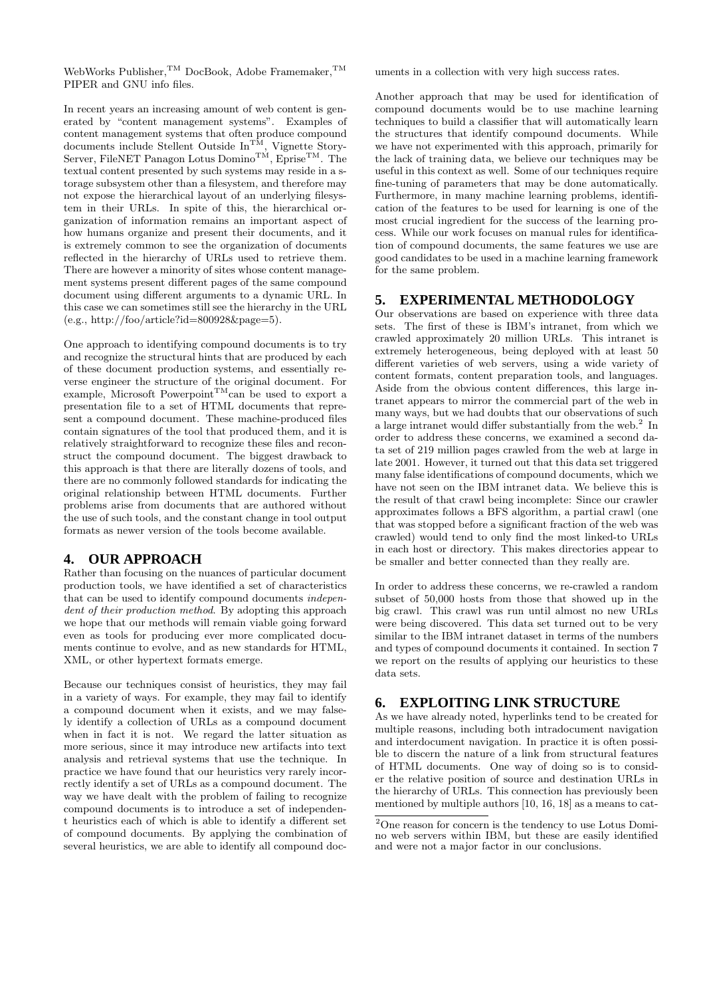WebWorks Publisher,  $T^M$  DocBook, Adobe Framemaker,  $T^M$ PIPER and GNU info files.

In recent years an increasing amount of web content is generated by "content management systems". Examples of content management systems that often produce compound documents include Stellent Outside In<sup>TM</sup>, Vignette Story-Server, FileNET Panagon Lotus Domino<sup>TM</sup>, Eprise<sup>TM</sup>. The textual content presented by such systems may reside in a storage subsystem other than a filesystem, and therefore may not expose the hierarchical layout of an underlying filesystem in their URLs. In spite of this, the hierarchical organization of information remains an important aspect of how humans organize and present their documents, and it is extremely common to see the organization of documents reflected in the hierarchy of URLs used to retrieve them. There are however a minority of sites whose content management systems present different pages of the same compound document using different arguments to a dynamic URL. In this case we can sometimes still see the hierarchy in the URL (e.g., http://foo/article?id=800928&page=5).

One approach to identifying compound documents is to try and recognize the structural hints that are produced by each of these document production systems, and essentially reverse engineer the structure of the original document. For example, Microsoft Powerpoint<sup>TM</sup>can be used to export a presentation file to a set of HTML documents that represent a compound document. These machine-produced files contain signatures of the tool that produced them, and it is relatively straightforward to recognize these files and reconstruct the compound document. The biggest drawback to this approach is that there are literally dozens of tools, and there are no commonly followed standards for indicating the original relationship between HTML documents. Further problems arise from documents that are authored without the use of such tools, and the constant change in tool output formats as newer version of the tools become available.

# **4. OUR APPROACH**

Rather than focusing on the nuances of particular document production tools, we have identified a set of characteristics that can be used to identify compound documents independent of their production method. By adopting this approach we hope that our methods will remain viable going forward even as tools for producing ever more complicated documents continue to evolve, and as new standards for HTML, XML, or other hypertext formats emerge.

Because our techniques consist of heuristics, they may fail in a variety of ways. For example, they may fail to identify a compound document when it exists, and we may falsely identify a collection of URLs as a compound document when in fact it is not. We regard the latter situation as more serious, since it may introduce new artifacts into text analysis and retrieval systems that use the technique. In practice we have found that our heuristics very rarely incorrectly identify a set of URLs as a compound document. The way we have dealt with the problem of failing to recognize compound documents is to introduce a set of independent heuristics each of which is able to identify a different set of compound documents. By applying the combination of several heuristics, we are able to identify all compound documents in a collection with very high success rates.

Another approach that may be used for identification of compound documents would be to use machine learning techniques to build a classifier that will automatically learn the structures that identify compound documents. While we have not experimented with this approach, primarily for the lack of training data, we believe our techniques may be useful in this context as well. Some of our techniques require fine-tuning of parameters that may be done automatically. Furthermore, in many machine learning problems, identification of the features to be used for learning is one of the most crucial ingredient for the success of the learning process. While our work focuses on manual rules for identification of compound documents, the same features we use are good candidates to be used in a machine learning framework for the same problem.

# **5. EXPERIMENTAL METHODOLOGY**

Our observations are based on experience with three data sets. The first of these is IBM's intranet, from which we crawled approximately 20 million URLs. This intranet is extremely heterogeneous, being deployed with at least 50 different varieties of web servers, using a wide variety of content formats, content preparation tools, and languages. Aside from the obvious content differences, this large intranet appears to mirror the commercial part of the web in many ways, but we had doubts that our observations of such a large intranet would differ substantially from the web.<sup>2</sup> In order to address these concerns, we examined a second data set of 219 million pages crawled from the web at large in late 2001. However, it turned out that this data set triggered many false identifications of compound documents, which we have not seen on the IBM intranet data. We believe this is the result of that crawl being incomplete: Since our crawler approximates follows a BFS algorithm, a partial crawl (one that was stopped before a significant fraction of the web was crawled) would tend to only find the most linked-to URLs in each host or directory. This makes directories appear to be smaller and better connected than they really are.

In order to address these concerns, we re-crawled a random subset of 50,000 hosts from those that showed up in the big crawl. This crawl was run until almost no new URLs were being discovered. This data set turned out to be very similar to the IBM intranet dataset in terms of the numbers and types of compound documents it contained. In section 7 we report on the results of applying our heuristics to these data sets.

# **6. EXPLOITING LINK STRUCTURE**

As we have already noted, hyperlinks tend to be created for multiple reasons, including both intradocument navigation and interdocument navigation. In practice it is often possible to discern the nature of a link from structural features of HTML documents. One way of doing so is to consider the relative position of source and destination URLs in the hierarchy of URLs. This connection has previously been mentioned by multiple authors [10, 16, 18] as a means to cat-

<sup>&</sup>lt;sup>2</sup>One reason for concern is the tendency to use Lotus Domino web servers within IBM, but these are easily identified and were not a major factor in our conclusions.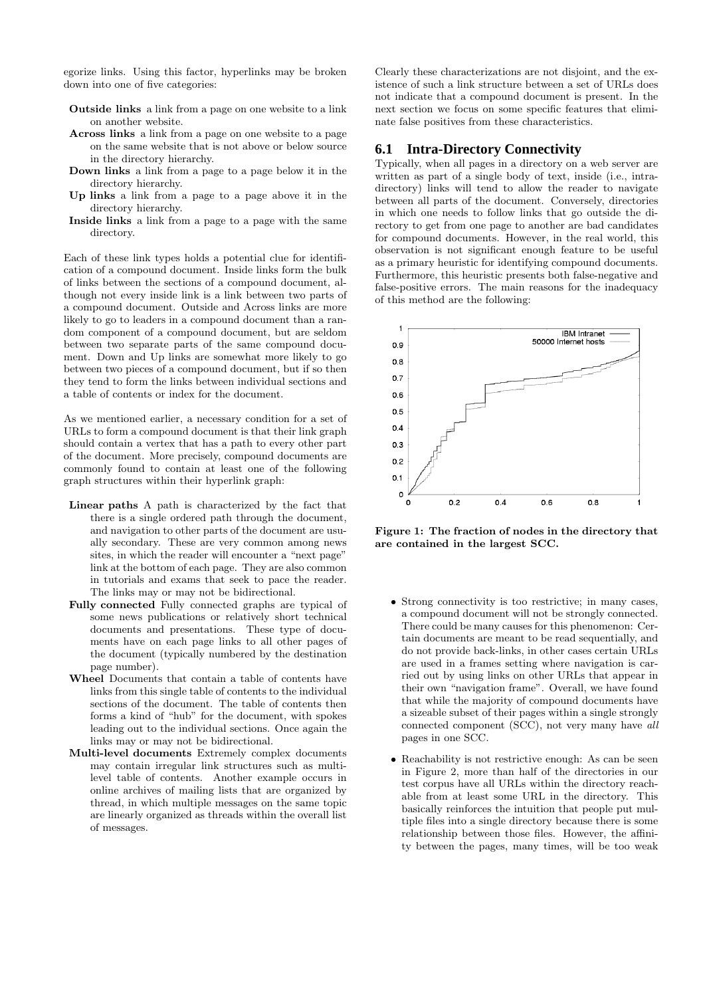egorize links. Using this factor, hyperlinks may be broken down into one of five categories:

- Outside links a link from a page on one website to a link on another website.
- Across links a link from a page on one website to a page on the same website that is not above or below source in the directory hierarchy.
- Down links a link from a page to a page below it in the directory hierarchy.
- Up links a link from a page to a page above it in the directory hierarchy.
- Inside links a link from a page to a page with the same directory.

Each of these link types holds a potential clue for identification of a compound document. Inside links form the bulk of links between the sections of a compound document, although not every inside link is a link between two parts of a compound document. Outside and Across links are more likely to go to leaders in a compound document than a random component of a compound document, but are seldom between two separate parts of the same compound document. Down and Up links are somewhat more likely to go between two pieces of a compound document, but if so then they tend to form the links between individual sections and a table of contents or index for the document.

As we mentioned earlier, a necessary condition for a set of URLs to form a compound document is that their link graph should contain a vertex that has a path to every other part of the document. More precisely, compound documents are commonly found to contain at least one of the following graph structures within their hyperlink graph:

- Linear paths A path is characterized by the fact that there is a single ordered path through the document, and navigation to other parts of the document are usually secondary. These are very common among news sites, in which the reader will encounter a "next page" link at the bottom of each page. They are also common in tutorials and exams that seek to pace the reader. The links may or may not be bidirectional.
- Fully connected Fully connected graphs are typical of some news publications or relatively short technical documents and presentations. These type of documents have on each page links to all other pages of the document (typically numbered by the destination page number).
- Wheel Documents that contain a table of contents have links from this single table of contents to the individual sections of the document. The table of contents then forms a kind of "hub" for the document, with spokes leading out to the individual sections. Once again the links may or may not be bidirectional.
- Multi-level documents Extremely complex documents may contain irregular link structures such as multilevel table of contents. Another example occurs in online archives of mailing lists that are organized by thread, in which multiple messages on the same topic are linearly organized as threads within the overall list of messages.

Clearly these characterizations are not disjoint, and the existence of such a link structure between a set of URLs does not indicate that a compound document is present. In the next section we focus on some specific features that eliminate false positives from these characteristics.

#### **6.1 Intra-Directory Connectivity**

Typically, when all pages in a directory on a web server are written as part of a single body of text, inside (i.e., intradirectory) links will tend to allow the reader to navigate between all parts of the document. Conversely, directories in which one needs to follow links that go outside the directory to get from one page to another are bad candidates for compound documents. However, in the real world, this observation is not significant enough feature to be useful as a primary heuristic for identifying compound documents. Furthermore, this heuristic presents both false-negative and false-positive errors. The main reasons for the inadequacy of this method are the following:



Figure 1: The fraction of nodes in the directory that are contained in the largest SCC.

- Strong connectivity is too restrictive; in many cases, a compound document will not be strongly connected. There could be many causes for this phenomenon: Certain documents are meant to be read sequentially, and do not provide back-links, in other cases certain URLs are used in a frames setting where navigation is carried out by using links on other URLs that appear in their own "navigation frame". Overall, we have found that while the majority of compound documents have a sizeable subset of their pages within a single strongly connected component (SCC), not very many have all pages in one SCC.
- Reachability is not restrictive enough: As can be seen in Figure 2, more than half of the directories in our test corpus have all URLs within the directory reachable from at least some URL in the directory. This basically reinforces the intuition that people put multiple files into a single directory because there is some relationship between those files. However, the affinity between the pages, many times, will be too weak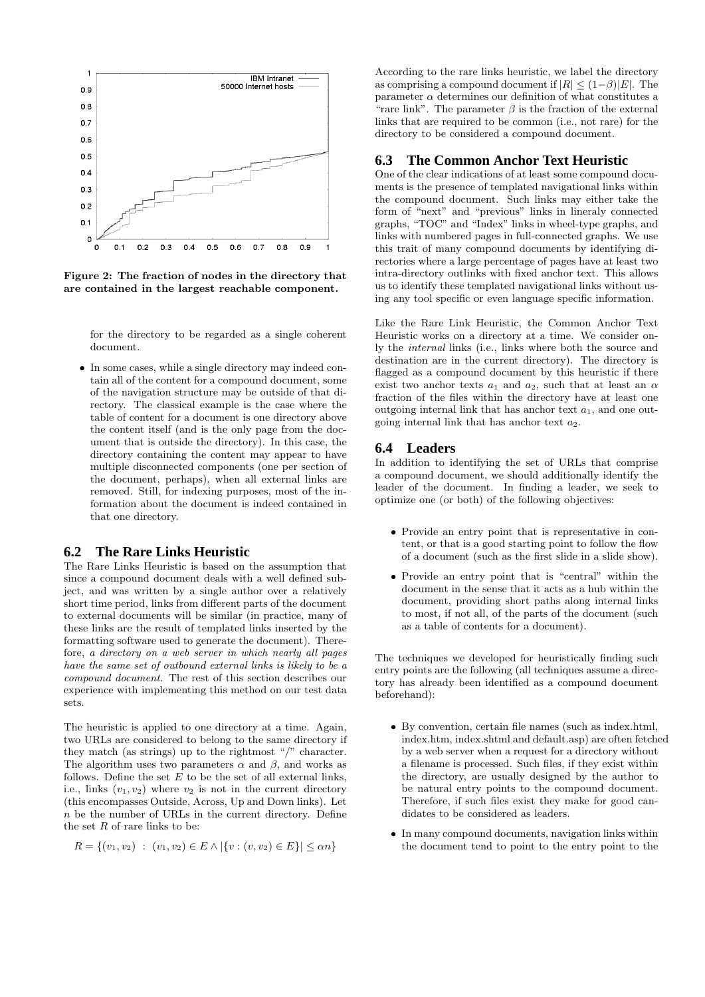

Figure 2: The fraction of nodes in the directory that are contained in the largest reachable component.

for the directory to be regarded as a single coherent document.

• In some cases, while a single directory may indeed contain all of the content for a compound document, some of the navigation structure may be outside of that directory. The classical example is the case where the table of content for a document is one directory above the content itself (and is the only page from the document that is outside the directory). In this case, the directory containing the content may appear to have multiple disconnected components (one per section of the document, perhaps), when all external links are removed. Still, for indexing purposes, most of the information about the document is indeed contained in that one directory.

#### **6.2 The Rare Links Heuristic**

The Rare Links Heuristic is based on the assumption that since a compound document deals with a well defined subject, and was written by a single author over a relatively short time period, links from different parts of the document to external documents will be similar (in practice, many of these links are the result of templated links inserted by the formatting software used to generate the document). Therefore, a directory on a web server in which nearly all pages have the same set of outbound external links is likely to be a compound document. The rest of this section describes our experience with implementing this method on our test data sets.

The heuristic is applied to one directory at a time. Again, two URLs are considered to belong to the same directory if they match (as strings) up to the rightmost "/" character. The algorithm uses two parameters  $\alpha$  and  $\beta$ , and works as follows. Define the set  $E$  to be the set of all external links, i.e., links  $(v_1, v_2)$  where  $v_2$  is not in the current directory (this encompasses Outside, Across, Up and Down links). Let n be the number of URLs in the current directory. Define the set  $R$  of rare links to be:

$$
R = \{(v_1, v_2) : (v_1, v_2) \in E \land |\{v : (v, v_2) \in E\}| \le \alpha n\}
$$

According to the rare links heuristic, we label the directory as comprising a compound document if  $|R| \leq (1-\beta)|E|$ . The parameter  $\alpha$  determines our definition of what constitutes a "rare link". The parameter  $\beta$  is the fraction of the external links that are required to be common (i.e., not rare) for the directory to be considered a compound document.

#### **6.3 The Common Anchor Text Heuristic**

One of the clear indications of at least some compound documents is the presence of templated navigational links within the compound document. Such links may either take the form of "next" and "previous" links in lineraly connected graphs, "TOC" and "Index" links in wheel-type graphs, and links with numbered pages in full-connected graphs. We use this trait of many compound documents by identifying directories where a large percentage of pages have at least two intra-directory outlinks with fixed anchor text. This allows us to identify these templated navigational links without using any tool specific or even language specific information.

Like the Rare Link Heuristic, the Common Anchor Text Heuristic works on a directory at a time. We consider only the internal links (i.e., links where both the source and destination are in the current directory). The directory is flagged as a compound document by this heuristic if there exist two anchor texts  $a_1$  and  $a_2$ , such that at least an  $\alpha$ fraction of the files within the directory have at least one outgoing internal link that has anchor text  $a_1$ , and one outgoing internal link that has anchor text  $a_2$ .

#### **6.4 Leaders**

In addition to identifying the set of URLs that comprise a compound document, we should additionally identify the leader of the document. In finding a leader, we seek to optimize one (or both) of the following objectives:

- Provide an entry point that is representative in content, or that is a good starting point to follow the flow of a document (such as the first slide in a slide show).
- Provide an entry point that is "central" within the document in the sense that it acts as a hub within the document, providing short paths along internal links to most, if not all, of the parts of the document (such as a table of contents for a document).

The techniques we developed for heuristically finding such entry points are the following (all techniques assume a directory has already been identified as a compound document beforehand):

- By convention, certain file names (such as index.html, index.htm, index.shtml and default.asp) are often fetched by a web server when a request for a directory without a filename is processed. Such files, if they exist within the directory, are usually designed by the author to be natural entry points to the compound document. Therefore, if such files exist they make for good candidates to be considered as leaders.
- In many compound documents, navigation links within the document tend to point to the entry point to the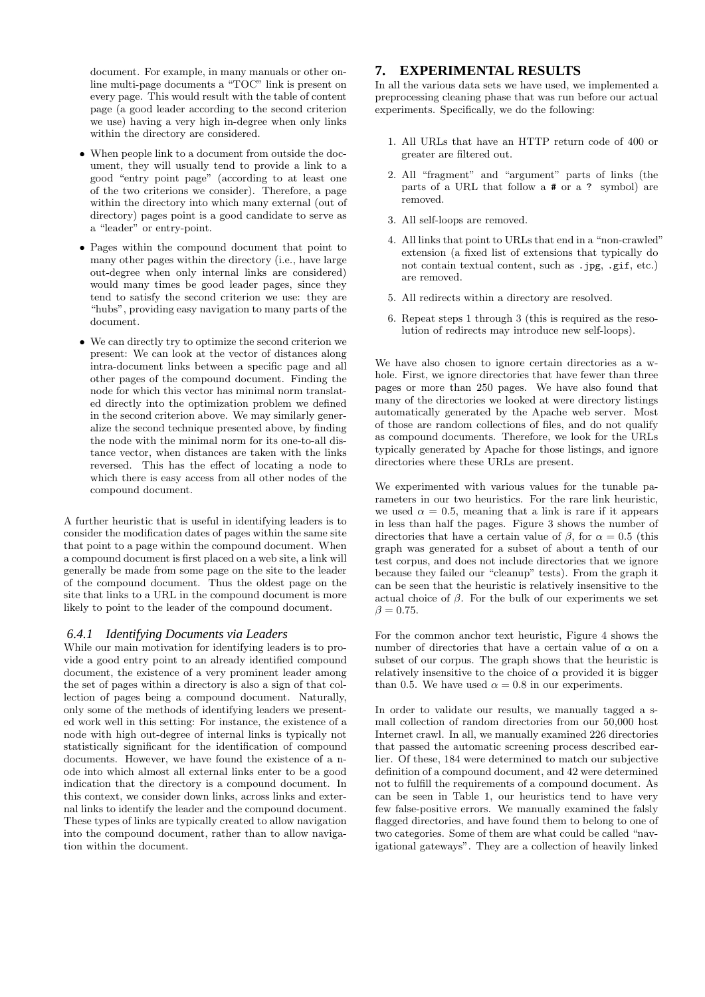document. For example, in many manuals or other online multi-page documents a "TOC" link is present on every page. This would result with the table of content page (a good leader according to the second criterion we use) having a very high in-degree when only links within the directory are considered.

- When people link to a document from outside the document, they will usually tend to provide a link to a good "entry point page" (according to at least one of the two criterions we consider). Therefore, a page within the directory into which many external (out of directory) pages point is a good candidate to serve as a "leader" or entry-point.
- Pages within the compound document that point to many other pages within the directory (i.e., have large out-degree when only internal links are considered) would many times be good leader pages, since they tend to satisfy the second criterion we use: they are "hubs", providing easy navigation to many parts of the document.
- We can directly try to optimize the second criterion we present: We can look at the vector of distances along intra-document links between a specific page and all other pages of the compound document. Finding the node for which this vector has minimal norm translated directly into the optimization problem we defined in the second criterion above. We may similarly generalize the second technique presented above, by finding the node with the minimal norm for its one-to-all distance vector, when distances are taken with the links reversed. This has the effect of locating a node to which there is easy access from all other nodes of the compound document.

A further heuristic that is useful in identifying leaders is to consider the modification dates of pages within the same site that point to a page within the compound document. When a compound document is first placed on a web site, a link will generally be made from some page on the site to the leader of the compound document. Thus the oldest page on the site that links to a URL in the compound document is more likely to point to the leader of the compound document.

#### *6.4.1 Identifying Documents via Leaders*

While our main motivation for identifying leaders is to provide a good entry point to an already identified compound document, the existence of a very prominent leader among the set of pages within a directory is also a sign of that collection of pages being a compound document. Naturally, only some of the methods of identifying leaders we presented work well in this setting: For instance, the existence of a node with high out-degree of internal links is typically not statistically significant for the identification of compound documents. However, we have found the existence of a node into which almost all external links enter to be a good indication that the directory is a compound document. In this context, we consider down links, across links and external links to identify the leader and the compound document. These types of links are typically created to allow navigation into the compound document, rather than to allow navigation within the document.

# **7. EXPERIMENTAL RESULTS**

In all the various data sets we have used, we implemented a preprocessing cleaning phase that was run before our actual experiments. Specifically, we do the following:

- 1. All URLs that have an HTTP return code of 400 or greater are filtered out.
- 2. All "fragment" and "argument" parts of links (the parts of a URL that follow a # or a ? symbol) are removed.
- 3. All self-loops are removed.
- 4. All links that point to URLs that end in a "non-crawled" extension (a fixed list of extensions that typically do not contain textual content, such as .jpg, .gif, etc.) are removed.
- 5. All redirects within a directory are resolved.
- 6. Repeat steps 1 through 3 (this is required as the resolution of redirects may introduce new self-loops).

We have also chosen to ignore certain directories as a whole. First, we ignore directories that have fewer than three pages or more than 250 pages. We have also found that many of the directories we looked at were directory listings automatically generated by the Apache web server. Most of those are random collections of files, and do not qualify as compound documents. Therefore, we look for the URLs typically generated by Apache for those listings, and ignore directories where these URLs are present.

We experimented with various values for the tunable parameters in our two heuristics. For the rare link heuristic, we used  $\alpha = 0.5$ , meaning that a link is rare if it appears in less than half the pages. Figure 3 shows the number of directories that have a certain value of  $\beta$ , for  $\alpha = 0.5$  (this graph was generated for a subset of about a tenth of our test corpus, and does not include directories that we ignore because they failed our "cleanup" tests). From the graph it can be seen that the heuristic is relatively insensitive to the actual choice of  $\beta$ . For the bulk of our experiments we set  $\beta = 0.75$ .

For the common anchor text heuristic, Figure 4 shows the number of directories that have a certain value of  $\alpha$  on a subset of our corpus. The graph shows that the heuristic is relatively insensitive to the choice of  $\alpha$  provided it is bigger than 0.5. We have used  $\alpha = 0.8$  in our experiments.

In order to validate our results, we manually tagged a small collection of random directories from our 50,000 host Internet crawl. In all, we manually examined 226 directories that passed the automatic screening process described earlier. Of these, 184 were determined to match our subjective definition of a compound document, and 42 were determined not to fulfill the requirements of a compound document. As can be seen in Table 1, our heuristics tend to have very few false-positive errors. We manually examined the falsly flagged directories, and have found them to belong to one of two categories. Some of them are what could be called "navigational gateways". They are a collection of heavily linked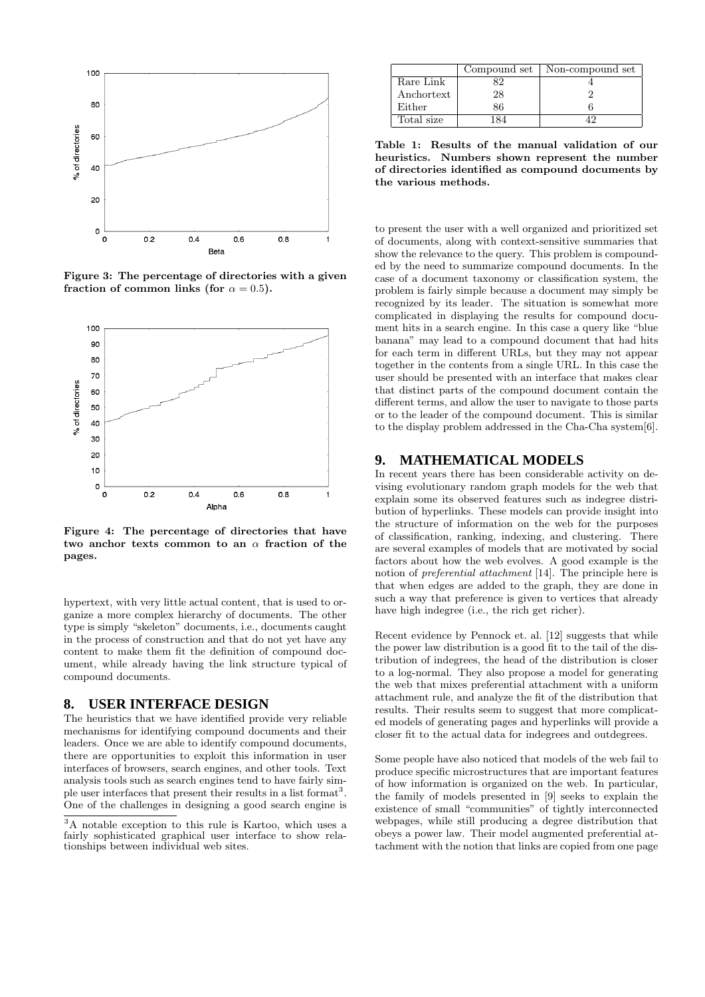

Figure 3: The percentage of directories with a given fraction of common links (for  $\alpha = 0.5$ ).



Figure 4: The percentage of directories that have two anchor texts common to an  $\alpha$  fraction of the pages.

hypertext, with very little actual content, that is used to organize a more complex hierarchy of documents. The other type is simply "skeleton" documents, i.e., documents caught in the process of construction and that do not yet have any content to make them fit the definition of compound document, while already having the link structure typical of compound documents.

### **8. USER INTERFACE DESIGN**

The heuristics that we have identified provide very reliable mechanisms for identifying compound documents and their leaders. Once we are able to identify compound documents, there are opportunities to exploit this information in user interfaces of browsers, search engines, and other tools. Text analysis tools such as search engines tend to have fairly simple user interfaces that present their results in a list format<sup>3</sup>. One of the challenges in designing a good search engine is

|            | Compound set | Non-compound set |
|------------|--------------|------------------|
| Rare Link  | 82           |                  |
| Anchortext | 28           |                  |
| Either     | 86           |                  |
| Total size |              |                  |

Table 1: Results of the manual validation of our heuristics. Numbers shown represent the number of directories identified as compound documents by the various methods.

to present the user with a well organized and prioritized set of documents, along with context-sensitive summaries that show the relevance to the query. This problem is compounded by the need to summarize compound documents. In the case of a document taxonomy or classification system, the problem is fairly simple because a document may simply be recognized by its leader. The situation is somewhat more complicated in displaying the results for compound document hits in a search engine. In this case a query like "blue banana" may lead to a compound document that had hits for each term in different URLs, but they may not appear together in the contents from a single URL. In this case the user should be presented with an interface that makes clear that distinct parts of the compound document contain the different terms, and allow the user to navigate to those parts or to the leader of the compound document. This is similar to the display problem addressed in the Cha-Cha system[6].

#### **9. MATHEMATICAL MODELS**

In recent years there has been considerable activity on devising evolutionary random graph models for the web that explain some its observed features such as indegree distribution of hyperlinks. These models can provide insight into the structure of information on the web for the purposes of classification, ranking, indexing, and clustering. There are several examples of models that are motivated by social factors about how the web evolves. A good example is the notion of preferential attachment [14]. The principle here is that when edges are added to the graph, they are done in such a way that preference is given to vertices that already have high indegree (i.e., the rich get richer).

Recent evidence by Pennock et. al. [12] suggests that while the power law distribution is a good fit to the tail of the distribution of indegrees, the head of the distribution is closer to a log-normal. They also propose a model for generating the web that mixes preferential attachment with a uniform attachment rule, and analyze the fit of the distribution that results. Their results seem to suggest that more complicated models of generating pages and hyperlinks will provide a closer fit to the actual data for indegrees and outdegrees.

Some people have also noticed that models of the web fail to produce specific microstructures that are important features of how information is organized on the web. In particular, the family of models presented in [9] seeks to explain the existence of small "communities" of tightly interconnected webpages, while still producing a degree distribution that obeys a power law. Their model augmented preferential attachment with the notion that links are copied from one page

<sup>&</sup>lt;sup>3</sup>A notable exception to this rule is Kartoo, which uses a fairly sophisticated graphical user interface to show relationships between individual web sites.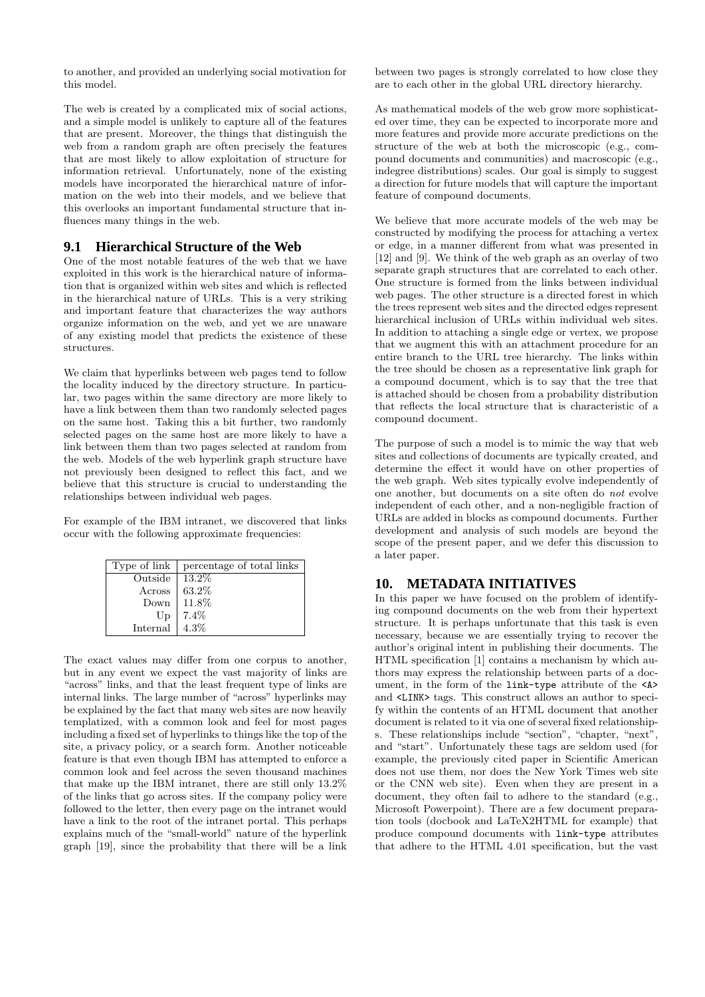to another, and provided an underlying social motivation for this model.

The web is created by a complicated mix of social actions, and a simple model is unlikely to capture all of the features that are present. Moreover, the things that distinguish the web from a random graph are often precisely the features that are most likely to allow exploitation of structure for information retrieval. Unfortunately, none of the existing models have incorporated the hierarchical nature of information on the web into their models, and we believe that this overlooks an important fundamental structure that influences many things in the web.

#### **9.1 Hierarchical Structure of the Web**

One of the most notable features of the web that we have exploited in this work is the hierarchical nature of information that is organized within web sites and which is reflected in the hierarchical nature of URLs. This is a very striking and important feature that characterizes the way authors organize information on the web, and yet we are unaware of any existing model that predicts the existence of these structures.

We claim that hyperlinks between web pages tend to follow the locality induced by the directory structure. In particular, two pages within the same directory are more likely to have a link between them than two randomly selected pages on the same host. Taking this a bit further, two randomly selected pages on the same host are more likely to have a link between them than two pages selected at random from the web. Models of the web hyperlink graph structure have not previously been designed to reflect this fact, and we believe that this structure is crucial to understanding the relationships between individual web pages.

For example of the IBM intranet, we discovered that links occur with the following approximate frequencies:

| Type of link | percentage of total links |
|--------------|---------------------------|
| Outside      | 13.2\%                    |
| Across       | 63.2%                     |
| Down         | 11.8%                     |
| Up           | $7.4\%$                   |
| Internal     | $4.3\%$                   |

The exact values may differ from one corpus to another, but in any event we expect the vast majority of links are "across" links, and that the least frequent type of links are internal links. The large number of "across" hyperlinks may be explained by the fact that many web sites are now heavily templatized, with a common look and feel for most pages including a fixed set of hyperlinks to things like the top of the site, a privacy policy, or a search form. Another noticeable feature is that even though IBM has attempted to enforce a common look and feel across the seven thousand machines that make up the IBM intranet, there are still only 13.2% of the links that go across sites. If the company policy were followed to the letter, then every page on the intranet would have a link to the root of the intranet portal. This perhaps explains much of the "small-world" nature of the hyperlink graph [19], since the probability that there will be a link

between two pages is strongly correlated to how close they are to each other in the global URL directory hierarchy.

As mathematical models of the web grow more sophisticated over time, they can be expected to incorporate more and more features and provide more accurate predictions on the structure of the web at both the microscopic (e.g., compound documents and communities) and macroscopic (e.g., indegree distributions) scales. Our goal is simply to suggest a direction for future models that will capture the important feature of compound documents.

We believe that more accurate models of the web may be constructed by modifying the process for attaching a vertex or edge, in a manner different from what was presented in [12] and [9]. We think of the web graph as an overlay of two separate graph structures that are correlated to each other. One structure is formed from the links between individual web pages. The other structure is a directed forest in which the trees represent web sites and the directed edges represent hierarchical inclusion of URLs within individual web sites. In addition to attaching a single edge or vertex, we propose that we augment this with an attachment procedure for an entire branch to the URL tree hierarchy. The links within the tree should be chosen as a representative link graph for a compound document, which is to say that the tree that is attached should be chosen from a probability distribution that reflects the local structure that is characteristic of a compound document.

The purpose of such a model is to mimic the way that web sites and collections of documents are typically created, and determine the effect it would have on other properties of the web graph. Web sites typically evolve independently of one another, but documents on a site often do not evolve independent of each other, and a non-negligible fraction of URLs are added in blocks as compound documents. Further development and analysis of such models are beyond the scope of the present paper, and we defer this discussion to a later paper.

#### **10. METADATA INITIATIVES**

In this paper we have focused on the problem of identifying compound documents on the web from their hypertext structure. It is perhaps unfortunate that this task is even necessary, because we are essentially trying to recover the author's original intent in publishing their documents. The HTML specification [1] contains a mechanism by which authors may express the relationship between parts of a document, in the form of the link-type attribute of the <A> and <LINK> tags. This construct allows an author to specify within the contents of an HTML document that another document is related to it via one of several fixed relationships. These relationships include "section", "chapter, "next", and "start". Unfortunately these tags are seldom used (for example, the previously cited paper in Scientific American does not use them, nor does the New York Times web site or the CNN web site). Even when they are present in a document, they often fail to adhere to the standard (e.g., Microsoft Powerpoint). There are a few document preparation tools (docbook and LaTeX2HTML for example) that produce compound documents with link-type attributes that adhere to the HTML 4.01 specification, but the vast